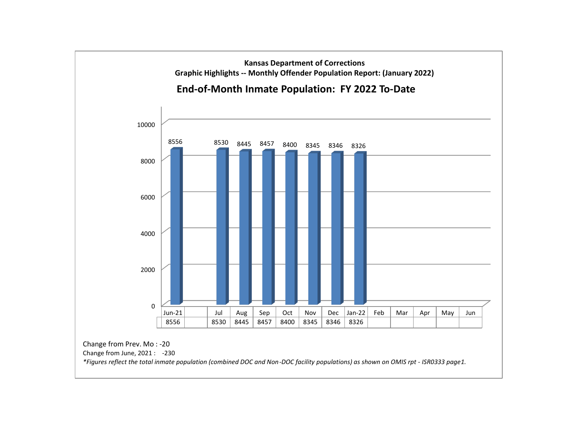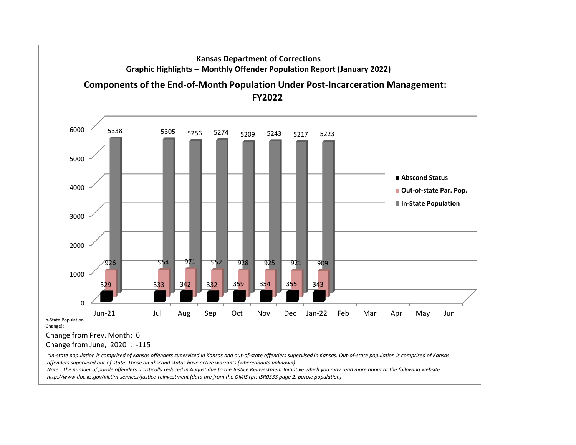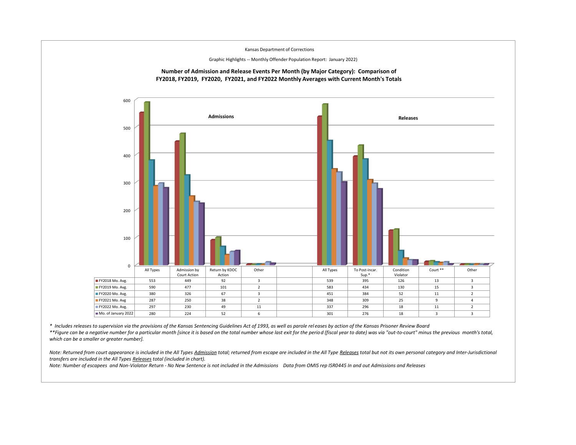

*\* Includes releases to supervision via the provisions of the Kansas Sentencing Guidelines Act of 1993, as well as parole rel eases by action of the Kansas Prisoner Review Board*

*\*\*Figure can be a negative number for a particular month [since it is based on the total number whose last exit for the period (fiscal year to date) was via "out-to-court" minus the previous month's total, which can be a smaller or greater number].*

Note: Returned from court appearance is included in the All Types Admission total; returned from escape are included in the All Type Releases total but not its own personal category and Inter-Jurisdictional *transfers are included in the All Types Releases total (included in chart).* 

*Note: Number of escapees and Non-Violator Return - No New Sentence is not included in the Admissions Data from OMIS rep ISR0445 In and out Admissions and Releases*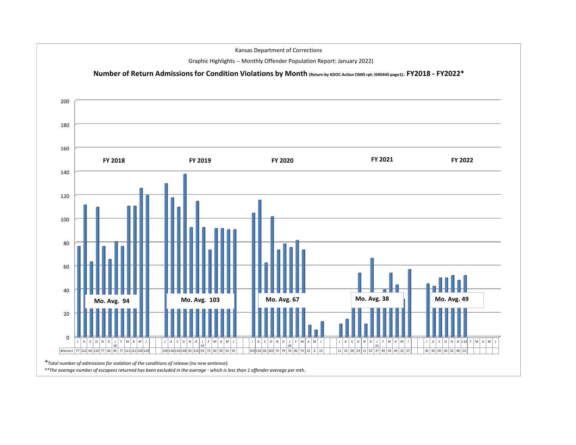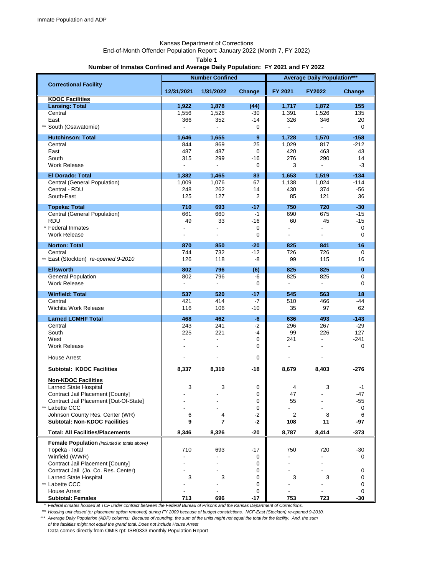# Kansas Department of Corrections

End-of-Month Offender Population Report: January 2022 (Month 7, FY 2022)

**Table 1**

#### **Number of Inmates Confined and Average Daily Population: FY 2021 and FY 2022**

|                                                     | <b>Number Confined</b>   |                          |                | <b>Average Daily Population***</b> |                          |              |  |
|-----------------------------------------------------|--------------------------|--------------------------|----------------|------------------------------------|--------------------------|--------------|--|
| <b>Correctional Facility</b>                        |                          |                          |                |                                    |                          |              |  |
|                                                     | 12/31/2021               | 1/31/2022                | Change         | FY 2021                            | <b>FY2022</b>            | Change       |  |
| <b>KDOC Facilities</b><br><b>Lansing: Total</b>     | 1,922                    | 1,878                    | (44)           | 1,717                              | 1,872                    | 155          |  |
| Central                                             | 1,556                    | 1,526                    | $-30$          | 1,391                              | 1,526                    | 135          |  |
| East                                                | 366                      | 352                      | $-14$          | 326                                | 346                      | 20           |  |
| ** South (Osawatomie)                               |                          | $\overline{\phantom{a}}$ | 0              |                                    | $\sim$                   | $\mathbf 0$  |  |
| <b>Hutchinson: Total</b>                            | 1,646                    | 1,655                    | 9              | 1,728                              | 1,570                    | $-158$       |  |
| Central                                             | 844                      | 869                      | 25             | 1,029                              | 817                      | $-212$       |  |
| East                                                | 487                      | 487                      | 0              | 420                                | 463                      | 43           |  |
| South                                               | 315                      | 299                      | $-16$          | 276                                | 290                      | 14           |  |
| <b>Work Release</b>                                 |                          | $\blacksquare$           | 0              | 3                                  | $\overline{\phantom{a}}$ | -3           |  |
| <b>El Dorado: Total</b>                             | 1,382                    | 1,465                    | 83             | 1,653                              | 1,519                    | $-134$       |  |
| Central (General Population)                        | 1,009                    | 1,076                    | 67             | 1,138                              | 1,024                    | $-114$       |  |
| Central - RDU                                       | 248                      | 262                      | 14             | 430                                | 374                      | -56          |  |
| South-East                                          | 125                      | 127                      | $\overline{2}$ | 85                                 | 121                      | 36           |  |
| <b>Topeka: Total</b>                                | 710                      | 693                      | $-17$          | 750                                | 720                      | $-30$        |  |
| Central (General Population)                        | 661                      | 660                      | $-1$           | 690                                | 675                      | $-15$        |  |
| <b>RDU</b>                                          | 49                       | 33                       | $-16$          | 60                                 | 45                       | $-15$        |  |
| * Federal Inmates                                   |                          |                          | 0              |                                    |                          | 0            |  |
| Work Release                                        |                          |                          | 0              |                                    |                          | 0            |  |
| <b>Norton: Total</b>                                | 870                      | 850                      | $-20$          | 825                                | 841                      | 16           |  |
| Central                                             | 744                      | 732                      | $-12$          | 726                                | 726                      | $\mathbf 0$  |  |
| ** East (Stockton) re-opened 9-2010                 | 126                      | 118                      | -8             | 99                                 | 115                      | 16           |  |
| <b>Ellsworth</b>                                    | 802                      | 796                      | (6)            | 825                                | 825                      | $\mathbf{0}$ |  |
| <b>General Population</b>                           | 802                      | 796                      | -6             | 825                                | 825                      | 0            |  |
| <b>Work Release</b>                                 | $\overline{\phantom{a}}$ | $\overline{\phantom{a}}$ | 0              | $\blacksquare$                     | $\blacksquare$           | 0            |  |
| <b>Winfield: Total</b>                              | 537                      | 520                      | $-17$          | 545                                | 563                      | 18           |  |
| Central                                             | 421                      | 414                      | -7             | 510                                | 466                      | -44          |  |
| Wichita Work Release                                | 116                      | 106                      | $-10$          | 35                                 | 97                       | 62           |  |
| <b>Larned LCMHF Total</b>                           | 468                      | 462                      | $-6$           | 636                                | 493                      | $-143$       |  |
| Central                                             | 243                      | 241                      | $-2$           | 296                                | 267                      | $-29$        |  |
| South                                               | 225                      | 221                      | -4             | 99                                 | 226                      | 127          |  |
| West                                                |                          |                          | 0              | 241                                |                          | $-241$       |  |
| <b>Work Release</b>                                 |                          |                          | 0              |                                    |                          | 0            |  |
| <b>House Arrest</b>                                 |                          |                          | 0              |                                    |                          |              |  |
|                                                     |                          |                          |                |                                    |                          |              |  |
| <b>Subtotal: KDOC Facilities</b>                    | 8,337                    | 8,319                    | -18            | 8,679                              | 8,403                    | -276         |  |
| <b>Non-KDOC Facilities</b>                          |                          |                          |                |                                    |                          |              |  |
| Larned State Hospital                               | 3                        | 3                        | 0              | 4                                  | 3                        | -1           |  |
| Contract Jail Placement [County]                    |                          |                          | $\Omega$       | 47                                 |                          | -47          |  |
| Contract Jail Placement [Out-Of-State]              |                          |                          | 0              | 55                                 |                          | -55          |  |
| ** Labette CCC                                      |                          |                          | 0              |                                    |                          | 0            |  |
| Johnson County Res. Center (WR)                     | 6                        | 4                        | $-2$           | $\overline{2}$                     | 8                        | 6            |  |
| <b>Subtotal: Non-KDOC Facilities</b>                | 9                        | 7                        | $-2$           | 108                                | 11                       | -97          |  |
| <b>Total: All Facilities/Placements</b>             | 8,346                    | 8,326                    | $-20$          | 8,787                              | 8,414                    | $-373$       |  |
| <b>Female Population</b> (included in totals above) |                          |                          |                |                                    |                          |              |  |
| Topeka - Total                                      | 710                      | 693                      | $-17$          | 750                                | 720                      | -30          |  |
| Winfield (WWR)                                      |                          |                          | 0              |                                    |                          | 0            |  |
| Contract Jail Placement [County]                    |                          |                          | 0              |                                    |                          |              |  |
| Contract Jail (Jo. Co. Res. Center)                 |                          |                          | 0              |                                    |                          | 0            |  |
| Larned State Hospital                               | 3                        | 3                        | 0              | 3                                  | 3                        | 0            |  |
| ** Labette CCC                                      |                          |                          | 0              |                                    |                          | 0            |  |
| <b>House Arrest</b><br><b>Subtotal: Females</b>     | 713                      | 696                      | 0<br>$-17$     | 753                                | 723                      | 0<br>$-30$   |  |

\* *Federal inmates housed at TCF under contract between the Federal Bureau of Prisons and the Kansas Department of Corrections.*

\*\* *Housing unit closed (or placement option removed) during FY 2009 because of budget constrictions. NCF-East (Stockton) re-opened 9-2010. \*\*\* Average Daily Population (ADP) columns: Because of rounding, the sum of the units might not equal the total for the facility. And, the sum of the facilities might not equal the grand total. Does not include House Arrest*

Data comes directly from OMIS rpt: ISR0333 monthly Population Report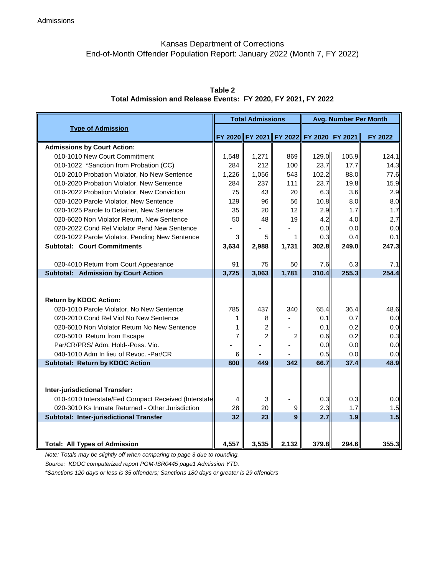### Kansas Department of Corrections End-of-Month Offender Population Report: January 2022 (Month 7, FY 2022)

| <b>Type of Admission</b>                                                                 |          | <b>Total Admissions</b> |                  |                                         | <b>Avg. Number Per Month</b> |              |  |  |
|------------------------------------------------------------------------------------------|----------|-------------------------|------------------|-----------------------------------------|------------------------------|--------------|--|--|
|                                                                                          |          |                         |                  | FY 2020 FY 2021 FY 2022 FY 2020 FY 2021 |                              | FY 2022      |  |  |
|                                                                                          |          |                         |                  |                                         |                              |              |  |  |
| <b>Admissions by Court Action:</b><br>010-1010 New Court Commitment                      | 1,548    | 1,271                   | 869              | 129.0                                   | 105.9                        | 124.1        |  |  |
|                                                                                          | 284      | 212                     | 100              | 23.7                                    | 17.7                         | 14.3         |  |  |
| 010-1022 *Sanction from Probation (CC)                                                   | 1,226    | 1,056                   | 543              | 102.2                                   | 88.0                         |              |  |  |
| 010-2010 Probation Violator, No New Sentence                                             | 284      | 237                     | 111              | 23.7                                    | 19.8                         | 77.6<br>15.9 |  |  |
| 010-2020 Probation Violator, New Sentence<br>010-2022 Probation Violator, New Conviction | 75       | 43                      | 20               | 6.3                                     | 3.6                          | 2.9          |  |  |
| 020-1020 Parole Violator, New Sentence                                                   | 129      | 96                      | 56               | 10.8                                    | 8.0                          | 8.0          |  |  |
| 020-1025 Parole to Detainer, New Sentence                                                | 35       | 20                      | 12               | 2.9                                     | 1.7                          | 1.7          |  |  |
| 020-6020 Non Violator Return, New Sentence                                               | 50       | 48                      | 19               | 4.2                                     | 4.0                          | 2.7          |  |  |
| 020-2022 Cond Rel Violator Pend New Sentence                                             |          |                         |                  | 0.0                                     | 0.0                          | 0.0          |  |  |
| 020-1022 Parole Violator, Pending New Sentence                                           | 3        | 5                       | 1                | 0.3                                     | 0.4                          | 0.1          |  |  |
| <b>Subtotal: Court Commitments</b>                                                       | 3,634    | 2,988                   | 1,731            | 302.8                                   | 249.0                        | 247.3        |  |  |
|                                                                                          |          |                         |                  |                                         |                              |              |  |  |
| 020-4010 Return from Court Appearance                                                    | 91       | 75                      | 50               | 7.6                                     | 6.3                          | 7.1          |  |  |
| <b>Subtotal: Admission by Court Action</b>                                               | 3,725    | 3,063                   | 1,781            | 310.4                                   | 255.3                        | 254.4        |  |  |
| <b>Return by KDOC Action:</b>                                                            |          |                         |                  |                                         |                              |              |  |  |
| 020-1010 Parole Violator, No New Sentence                                                | 785      | 437                     | 340              | 65.4                                    | 36.4                         | 48.6         |  |  |
| 020-2010 Cond Rel Viol No New Sentence                                                   |          | 8                       |                  | 0.1                                     | 0.7                          | 0.0          |  |  |
| 020-6010 Non Violator Return No New Sentence                                             |          | $\overline{c}$          |                  | 0.1                                     | 0.2                          | 0.0          |  |  |
| 020-5010 Return from Escape                                                              |          | $\overline{2}$          | $\overline{2}$   | 0.6                                     | 0.2                          | 0.3          |  |  |
| Par/CR/PRS/ Adm. Hold--Poss. Vio.                                                        |          |                         |                  | 0.0                                     | 0.0                          | 0.0          |  |  |
| 040-1010 Adm In lieu of Revoc. - Par/CR                                                  | 6<br>800 |                         |                  | 0.5                                     | 0.0                          | 0.0          |  |  |
| Subtotal: Return by KDOC Action                                                          |          | 449                     | 342              | 66.7                                    | 37.4                         | 48.9         |  |  |
| Inter-jurisdictional Transfer:<br>010-4010 Interstate/Fed Compact Received (Interstate   | 4        | 3                       |                  | 0.3                                     | 0.3                          | 0.0          |  |  |
| 020-3010 Ks Inmate Returned - Other Jurisdiction                                         | 28<br>32 | 20                      | $\boldsymbol{9}$ | 2.3                                     | 1.7                          | 1.5          |  |  |
| Subtotal: Inter-jurisdictional Transfer                                                  |          | 23                      | 9                | 2.7                                     | 1.9                          | 1.5          |  |  |
| <b>Total: All Types of Admission</b>                                                     | 4,557    | 3,535                   | 2,132            | 379.8                                   | 294.6                        | 355.3        |  |  |

**Table 2 Total Admission and Release Events: FY 2020, FY 2021, FY 2022**

*Note: Totals may be slightly off when comparing to page 3 due to rounding.* 

*Source: KDOC computerized report PGM-ISR0445 page1 Admission YTD.*

*\*Sanctions 120 days or less is 35 offenders; Sanctions 180 days or greater is 29 offenders*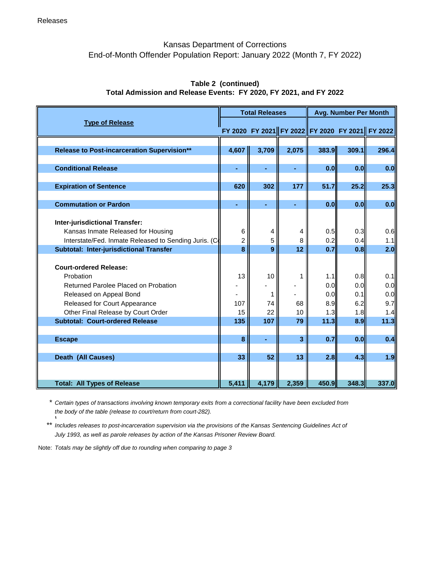### Kansas Department of Corrections End-of-Month Offender Population Report: January 2022 (Month 7, FY 2022)

| <b>Type of Release</b>                                                                                                                         |                     | <b>Total Releases</b> |        |                            | <b>Avg. Number Per Month</b> |                                                 |  |  |
|------------------------------------------------------------------------------------------------------------------------------------------------|---------------------|-----------------------|--------|----------------------------|------------------------------|-------------------------------------------------|--|--|
|                                                                                                                                                |                     |                       |        |                            |                              | FY 2020 FY 2021 FY 2022 FY 2020 FY 2021 FY 2022 |  |  |
| <b>Release to Post-incarceration Supervision**</b>                                                                                             | 4,607               | 3,709                 | 2,075  | 383.9                      | 309.1                        | 296.4                                           |  |  |
| <b>Conditional Release</b>                                                                                                                     |                     | ä,                    | ÷.     | 0.0                        | 0.0                          | 0.0                                             |  |  |
| <b>Expiration of Sentence</b>                                                                                                                  | 620                 | 302                   | 177    | 51.7                       | 25.2                         | 25.3                                            |  |  |
| <b>Commutation or Pardon</b>                                                                                                                   | ٠                   | ۰                     | ۰      | 0.0                        | 0.0                          | 0.0                                             |  |  |
| Inter-jurisdictional Transfer:<br>Kansas Inmate Released for Housing<br>Interstate/Fed. Inmate Released to Sending Juris. (C                   | 6<br>$\overline{2}$ | 4<br>5                | 4<br>8 | 0.5<br>0.2                 | 0.3<br>0.4                   | 0.6<br>1.1                                      |  |  |
| Subtotal: Inter-jurisdictional Transfer                                                                                                        | 8                   | 9                     | 12     | 0.7                        | 0.8                          | 2.0                                             |  |  |
| <b>Court-ordered Release:</b><br>Probation<br>Returned Parolee Placed on Probation<br>Released on Appeal Bond<br>Released for Court Appearance | 13<br>107           | 10<br>1<br>74         | 68     | $1.1$<br>0.0<br>0.0<br>8.9 | 0.8<br>0.0<br>0.1<br>6.2     | 0.1<br>0.0<br>0.0<br>9.7                        |  |  |
| Other Final Release by Court Order                                                                                                             | 15                  | 22                    | 10     | 1.3                        | 1.8                          | 1.4                                             |  |  |
| <b>Subtotal: Court-ordered Release</b>                                                                                                         | 135                 | 107                   | 79     | 11.3                       | 8.9                          | 11.3                                            |  |  |
| <b>Escape</b>                                                                                                                                  | 8                   | ۰                     | 3      | 0.7                        | 0.0                          | 0.4                                             |  |  |
| Death (All Causes)                                                                                                                             | 33                  | 52                    | 13     | 2.8                        | 4.3                          | 1.9                                             |  |  |
| <b>Total: All Types of Release</b>                                                                                                             | 5,411               | 4,179                 | 2,359  | 450.9                      | 348.3                        | 337.0                                           |  |  |

### **Table 2 (continued) Total Admission and Release Events: FY 2020, FY 2021, and FY 2022**

\* *Certain types of transactions involving known temporary exits from a correctional facility have been excluded from the body of the table (release to court/return from court-282). \*

\*\* *Includes releases to post-incarceration supervision via the provisions of the Kansas Sentencing Guidelines Act of July 1993, as well as parole releases by action of the Kansas Prisoner Review Board.*

Note: *Totals may be slightly off due to rounding when comparing to page 3*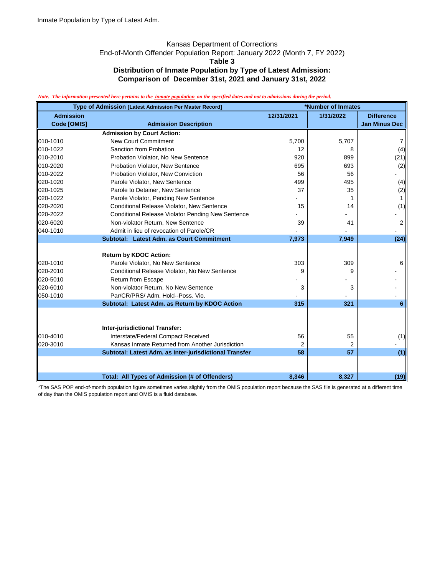### Kansas Department of Corrections

End-of-Month Offender Population Report: January 2022 (Month 7, FY 2022)

**Table 3**

## **Distribution of Inmate Population by Type of Latest Admission:**

**Comparison of December 31st, 2021 and January 31st, 2022**

#### *Note. The information presented here pertains to the inmate population on the specified dates and not to admissions during the period.*

| Type of Admission [Latest Admission Per Master Record] |                                                          | *Number of Inmates |           |                      |  |
|--------------------------------------------------------|----------------------------------------------------------|--------------------|-----------|----------------------|--|
| <b>Admission</b>                                       |                                                          | 12/31/2021         | 1/31/2022 | <b>Difference</b>    |  |
| Code [OMIS]                                            | <b>Admission Description</b>                             |                    |           | <b>Jan Minus Dec</b> |  |
|                                                        | <b>Admission by Court Action:</b>                        |                    |           |                      |  |
| 010-1010                                               | <b>New Court Commitment</b>                              | 5,700              | 5,707     | 7                    |  |
| 010-1022                                               | Sanction from Probation                                  | 12                 | 8         | (4)                  |  |
| 010-2010                                               | Probation Violator, No New Sentence                      | 920                | 899       | (21)                 |  |
| 010-2020                                               | Probation Violator, New Sentence                         | 695                | 693       | (2)                  |  |
| 010-2022                                               | Probation Violator, New Conviction                       | 56                 | 56        |                      |  |
| 020-1020                                               | Parole Violator, New Sentence                            | 499                | 495       | (4)                  |  |
| 020-1025                                               | Parole to Detainer, New Sentence                         | 37                 | 35        | (2)                  |  |
| 020-1022                                               | Parole Violator, Pending New Sentence                    |                    |           | $\mathbf{1}$         |  |
| 020-2020                                               | Conditional Release Violator, New Sentence               | 15                 | 14        | (1)                  |  |
| 020-2022                                               | <b>Conditional Release Violator Pending New Sentence</b> |                    |           |                      |  |
| 020-6020                                               | Non-violator Return, New Sentence                        | 39                 | 41        | 2                    |  |
| 040-1010                                               | Admit in lieu of revocation of Parole/CR                 |                    |           |                      |  |
|                                                        | Subtotal: Latest Adm. as Court Commitment                | 7,973              | 7,949     | (24)                 |  |
|                                                        |                                                          |                    |           |                      |  |
|                                                        | <b>Return by KDOC Action:</b>                            |                    |           |                      |  |
| 020-1010                                               | Parole Violator, No New Sentence                         | 303                | 309       | 6                    |  |
| 020-2010                                               | Conditional Release Violator, No New Sentence            | g                  | Й         |                      |  |
| 020-5010                                               | <b>Return from Escape</b>                                |                    |           |                      |  |
| 020-6010                                               | Non-violator Return, No New Sentence                     | 3                  | 3         |                      |  |
| 050-1010                                               | Par/CR/PRS/ Adm. Hold--Poss. Vio.                        |                    |           |                      |  |
|                                                        | Subtotal: Latest Adm. as Return by KDOC Action           | 315                | 321       | 6                    |  |
|                                                        |                                                          |                    |           |                      |  |
|                                                        | <b>Inter-jurisdictional Transfer:</b>                    |                    |           |                      |  |
| 010-4010                                               | Interstate/Federal Compact Received                      |                    |           |                      |  |
| 020-3010                                               | Kansas Inmate Returned from Another Jurisdiction         | 56<br>2            | 55<br>2   | (1)                  |  |
|                                                        | Subtotal: Latest Adm. as Inter-jurisdictional Transfer   | 58                 | 57        |                      |  |
|                                                        |                                                          |                    |           | (1)                  |  |
|                                                        |                                                          |                    |           |                      |  |
|                                                        | Total: All Types of Admission (# of Offenders)           | 8,346              | 8,327     | (19)                 |  |

\*The SAS POP end-of-month population figure sometimes varies slightly from the OMIS population report because the SAS file is generated at a different time of day than the OMIS population report and OMIS is a fluid database.